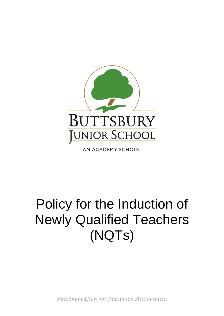

AN ACADEMY SCHOOL

# Policy for the Induction of Newly Qualified Teachers (NQTs)

*Maximum Effort for Maximum Achievement*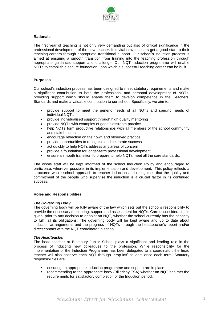

# **Rationale**

The first year of teaching is not only very demanding but also of critical significance in the professional development of the new teacher. It is vital new teachers get a good start to their teaching careers through appropriate transitional support. Our school's induction process is aimed at ensuring a smooth transition from training into the teaching profession through appropriate guidance, support and challenge. Our NQT Induction programme will enable NQTs to establish a secure foundation upon which a successful teaching career can be built.

# **Purposes**

Our school's induction process has been designed to meet statutory requirements and make a significant contribution to both the professional and personal development of NQTs, providing support which should enable them to develop competence in the Teachers' Standards and make a valuable contribution to our school. Specifically, we aim to:

- provide support to meet the generic needs of all NQTs and specific needs of individual NQTs
- provide individualised support through high quality mentoring
- provide NQTs with examples of good classroom practice
- help NQTs form productive relationships with all members of the school community and stakeholders
- encourage reflection on their own and observed practice
- provide opportunities to recognise and celebrate success
- act quickly to help NQTs address any areas of concern
- provide a foundation for longer-term professional development
- ensure a smooth transition to prepare to help NQTs meet all the core standards,

The whole staff will be kept informed of the school Induction Policy and encouraged to participate, wherever possible, in its implementation and development. This policy reflects a structured whole school approach to teacher induction and recognises that the quality and commitment of the people who supervise the induction is a crucial factor in its continued success.

#### **Roles and Responsibilities**

#### *The Governing Body*

The governing body will be fully aware of the law which sets out the school's responsibility to provide the necessary monitoring, support and assessment for NQTs. Careful consideration is given, prior to any decision to appoint an NQT, whether the school currently has the capacity to fulfil all its obligations. The governing body will be kept aware and up to date about induction arrangements and the progress of NQTs through the headteacher's report and/or direct contact with the NQT coordinator in school.

#### *The Headteacher*

The head teacher at Buttsbury Junior School plays a significant and leading role in the process of inducting new colleagues to the profession. While responsibility for the implementation of the Induction Programme has been delegated to a coordinator, the head teacher will also observe each NQT through 'drop-ins' at least once each term. Statutory responsibilities are:

- ensuring an appropriate induction programme and support are in place
- recommending to the appropriate body (Billericay TSA) whether an NQT has met the requirements for satisfactory completion of the Induction period.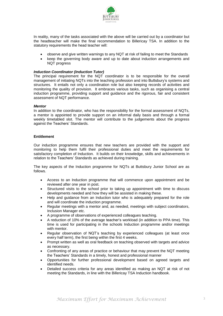

In reality, many of the tasks associated with the above will be carried out by a coordinator but the headteacher will make the final recommendation to Billericay TSA. In addition to the statutory requirements the head teacher will:

- observe and give written warnings to any NQT at risk of failing to meet the Standards
- keep the governing body aware and up to date about induction arrangements and NQT progress

# *Induction Coordinator (Induction Tutor)*

The principal requirement for the NQT coordinator is to be responsible for the overall management of initiating NQTs into the teaching profession and into Buttsbury's systems and structures. It entails not only a coordination role but also keeping records of activities and monitoring the quality of provision. It embraces various tasks, such as organising a central induction programme, providing support and guidance and the rigorous, fair and consistent assessment of NQT performance.

#### *Mentor*

In addition to the coordinator, who has the responsibility for the formal assessment of NQTs, a mentor is appointed to provide support on an informal daily basis and through a formal weekly timetabled slot. The mentor will contribute to the judgements about the progress against the Teachers' Standards.

#### **Entitlement**

Our induction programme ensures that new teachers are provided with the support and monitoring to help them fulfil their professional duties and meet the requirements for satisfactory completion of Induction. It builds on their knowledge, skills and achievements in relation to the Teachers' Standards as achieved during training.

The key aspects of the Induction programme for NQTs at Buttsbury Junior School are as follows.

- Access to an Induction programme that will commence upon appointment and be reviewed after one year in post.
- Structured visits to the school prior to taking up appointment with time to discuss developments needed and how they will be assisted in making these.
- Help and guidance from an Induction tutor who is adequately prepared for the role and will coordinate the induction programme.
- Regular meetings with a mentor and, as needed, meetings with subject coordinators, Inclusion Manager etc.
- A programme of observations of experienced colleagues teaching.
- A reduction of 10% of the average teacher's workload (in addition to PPA time). This time is used for participating in the schools Induction programme and/or meetings with mentor.
- Regular observation of NQT's teaching by experienced colleagues (at least once every half term), the first being within the first 4 weeks.
- Prompt written as well as oral feedback on teaching observed with targets and advice as necessary.
- Confronting of any areas of practice or behaviour that may prevent the NQT meeting the Teachers' Standards in a timely, honest and professional manner
- Opportunities for further professional development based on agreed targets and identified needs.
- Detailed success criteria for any areas identified as making an NQT at risk of not meeting the Standards, in line with the Billericay TSA Induction handbook.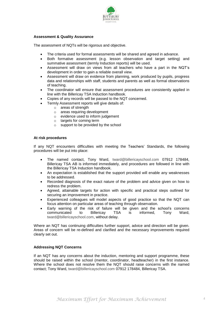

# **Assessment & Quality Assurance**

The assessment of NQTs will be rigorous and objective.

- The criteria used for formal assessments will be shared and agreed in advance.
- Both formative assessment (e.g. lesson observation and target setting) and summative assessment (termly Induction reports) will be used.
- Assessment will draw on views from all teachers who have a part in the NQT's development in order to gain a reliable overall view.
- Assessment will draw on evidence from planning, work produced by pupils, progress data and relationships with staff, students and parents as well as formal observations of teaching.
- The coordinator will ensure that assessment procedures are consistently applied in line with the Billericay TSA Induction handbook.
- Copies of any records will be passed to the NQT concerned.
- Termly Assessment reports will give details of:
	- o areas of strength
	- o areas requiring development
	- o evidence used to inform judgement
	- o targets for coming term
	- o support to be provided by the school

# **At risk procedures**

If any NQT encounters difficulties with meeting the Teachers' Standards, the following procedures will be put into place:

- The named contact, Tony Ward, [tward@billericayschool.com](mailto:tward@billericayschool.com) 07912 178484, Billericay TSA AB is informed immediately, and procedures are followed in line with the Billericay TSA Induction handbook.
- An expectation is established that the support provided will enable any weaknesses to be addressed.
- Recorded diagnosis of the exact nature of the problem and advice given on how to redress the problem.
- Agreed, attainable targets for action with specific and practical steps outlined for securing an improvement in practice.
- Experienced colleagues will model aspects of good practice so that the NQT can focus attention on particular areas of teaching through observation.
- Early warning of the risk of failure will be given and the school's concerns communicated to Billericay TSA is informed, Tony Ward, [tward@billericayschool.com,](mailto:tward@billericayschool.com) without delay.

Where an NQT has continuing difficulties further support, advice and direction will be given. Areas of concern will be re-defined and clarified and the necessary improvements required clearly set out.

#### **Addressing NQT Concerns**

If an NQT has any concerns about the induction, mentoring and support programme, these should be raised within the school (mentor, coordinator, headteacher) in the first instance. Where the school does not resolve them the NQT should raise concerns with the named contact; Tony Ward, [tward@billericayschool.com](mailto:tward@billericayschool.com) 07912 178484, Billericay TSA.